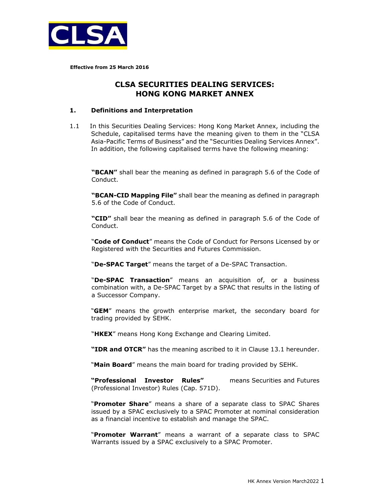

**Effective from 25 March 2016** 

# **CLSA SECURITIES DEALING SERVICES: HONG KONG MARKET ANNEX**

### **1. Definitions and Interpretation**

1.1 In this Securities Dealing Services: Hong Kong Market Annex, including the Schedule, capitalised terms have the meaning given to them in the "CLSA Asia-Pacific Terms of Business" and the "Securities Dealing Services Annex". In addition, the following capitalised terms have the following meaning:

**"BCAN"** shall bear the meaning as defined in paragraph 5.6 of the Code of Conduct.

**"BCAN-CID Mapping File"** shall bear the meaning as defined in paragraph 5.6 of the Code of Conduct.

**"CID"** shall bear the meaning as defined in paragraph 5.6 of the Code of Conduct.

"**Code of Conduct**" means the Code of Conduct for Persons Licensed by or Registered with the Securities and Futures Commission.

"**De-SPAC Target**" means the target of a De-SPAC Transaction.

"**De-SPAC Transaction**" means an acquisition of, or a business combination with, a De-SPAC Target by a SPAC that results in the listing of a Successor Company.

"**GEM**" means the growth enterprise market, the secondary board for trading provided by SEHK.

"**HKEX**" means Hong Kong Exchange and Clearing Limited.

**"IDR and OTCR"** has the meaning ascribed to it in Clause 13.1 hereunder.

"**Main Board**" means the main board for trading provided by SEHK.

**"Professional Investor Rules"** means Securities and Futures (Professional Investor) Rules (Cap. 571D).

"**Promoter Share**" means a share of a separate class to SPAC Shares issued by a SPAC exclusively to a SPAC Promoter at nominal consideration as a financial incentive to establish and manage the SPAC.

"**Promoter Warrant**" means a warrant of a separate class to SPAC Warrants issued by a SPAC exclusively to a SPAC Promoter.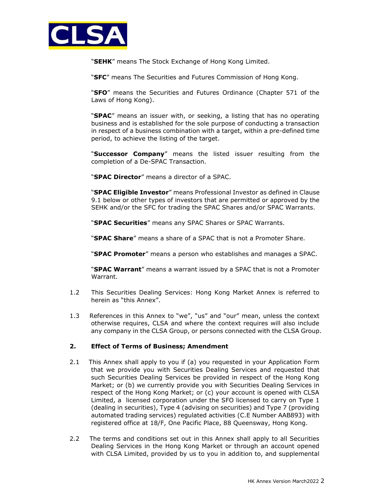

"**SEHK**" means The Stock Exchange of Hong Kong Limited.

"**SFC**" means The Securities and Futures Commission of Hong Kong.

"**SFO**" means the Securities and Futures Ordinance (Chapter 571 of the Laws of Hong Kong).

"**SPAC**" means an issuer with, or seeking, a listing that has no operating business and is established for the sole purpose of conducting a transaction in respect of a business combination with a target, within a pre-defined time period, to achieve the listing of the target.

"**Successor Company**" means the listed issuer resulting from the completion of a De-SPAC Transaction.

"**SPAC Director**" means a director of a SPAC.

"**SPAC Eligible Investor**" means Professional Investor as defined in Clause 9.1 below or other types of investors that are permitted or approved by the SEHK and/or the SFC for trading the SPAC Shares and/or SPAC Warrants.

"**SPAC Securities**" means any SPAC Shares or SPAC Warrants.

"**SPAC Share**" means a share of a SPAC that is not a Promoter Share.

"**SPAC Promoter**" means a person who establishes and manages a SPAC.

"**SPAC Warrant**" means a warrant issued by a SPAC that is not a Promoter Warrant.

- 1.2 This Securities Dealing Services: Hong Kong Market Annex is referred to herein as "this Annex".
- 1.3 References in this Annex to "we", "us" and "our" mean, unless the context otherwise requires, CLSA and where the context requires will also include any company in the CLSA Group, or persons connected with the CLSA Group.

# **2. Effect of Terms of Business; Amendment**

- 2.1 This Annex shall apply to you if (a) you requested in your Application Form that we provide you with Securities Dealing Services and requested that such Securities Dealing Services be provided in respect of the Hong Kong Market; or (b) we currently provide you with Securities Dealing Services in respect of the Hong Kong Market; or (c) your account is opened with CLSA Limited, a licensed corporation under the SFO licensed to carry on Type 1 (dealing in securities), Type 4 (advising on securities) and Type 7 (providing automated trading services) regulated activities (C.E Number AAB893) with registered office at 18/F, One Pacific Place, 88 Queensway, Hong Kong.
- 2.2 The terms and conditions set out in this Annex shall apply to all Securities Dealing Services in the Hong Kong Market or through an account opened with CLSA Limited, provided by us to you in addition to, and supplemental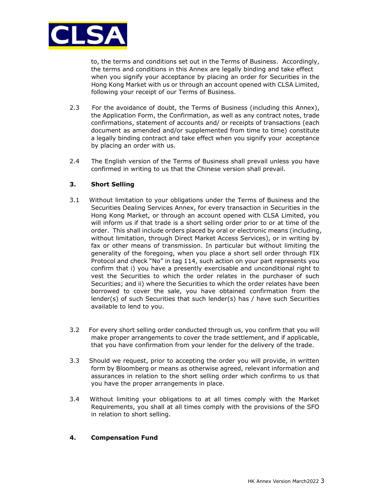

to, the terms and conditions set out in the Terms of Business. Accordingly, the terms and conditions in this Annex are legally binding and take effect when you signify your acceptance by placing an order for Securities in the Hong Kong Market with us or through an account opened with CLSA Limited, following your receipt of our Terms of Business.

- 2.3 For the avoidance of doubt, the Terms of Business (including this Annex), the Application Form, the Confirmation, as well as any contract notes, trade confirmations, statement of accounts and/ or receipts of transactions (each document as amended and/or supplemented from time to time) constitute a legally binding contract and take effect when you signify your acceptance by placing an order with us.
- 2.4 The English version of the Terms of Business shall prevail unless you have confirmed in writing to us that the Chinese version shall prevail.

# **3. Short Selling**

- 3.1 Without limitation to your obligations under the Terms of Business and the Securities Dealing Services Annex, for every transaction in Securities in the Hong Kong Market, or through an account opened with CLSA Limited, you will inform us if that trade is a short selling order prior to or at time of the order. This shall include orders placed by oral or electronic means (including, without limitation, through Direct Market Access Services), or in writing by fax or other means of transmission. In particular but without limiting the generality of the foregoing, when you place a short sell order through FIX Protocol and check "No" in tag 114, such action on your part represents you confirm that i) you have a presently exercisable and unconditional right to vest the Securities to which the order relates in the purchaser of such Securities; and ii) where the Securities to which the order relates have been borrowed to cover the sale, you have obtained confirmation from the lender(s) of such Securities that such lender(s) has / have such Securities available to lend to you.
- 3.2 For every short selling order conducted through us, you confirm that you will make proper arrangements to cover the trade settlement, and if applicable, that you have confirmation from your lender for the delivery of the trade.
- 3.3 Should we request, prior to accepting the order you will provide, in written form by Bloomberg or means as otherwise agreed, relevant information and assurances in relation to the short selling order which confirms to us that you have the proper arrangements in place.
- 3.4 Without limiting your obligations to at all times comply with the Market Requirements, you shall at all times comply with the provisions of the SFO in relation to short selling.

# **4. Compensation Fund**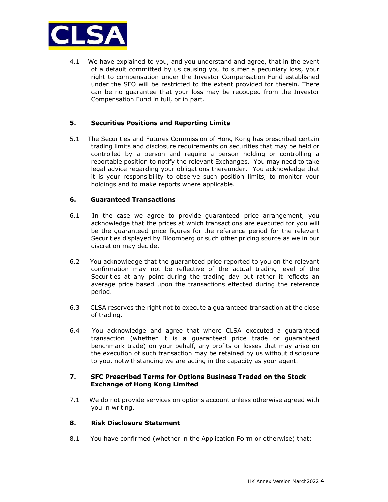

4.1 We have explained to you, and you understand and agree, that in the event of a default committed by us causing you to suffer a pecuniary loss, your right to compensation under the Investor Compensation Fund established under the SFO will be restricted to the extent provided for therein. There can be no guarantee that your loss may be recouped from the Investor Compensation Fund in full, or in part.

# **5. Securities Positions and Reporting Limits**

5.1 The Securities and Futures Commission of Hong Kong has prescribed certain trading limits and disclosure requirements on securities that may be held or controlled by a person and require a person holding or controlling a reportable position to notify the relevant Exchanges. You may need to take legal advice regarding your obligations thereunder. You acknowledge that it is your responsibility to observe such position limits, to monitor your holdings and to make reports where applicable.

## **6. Guaranteed Transactions**

- 6.1 In the case we agree to provide guaranteed price arrangement, you acknowledge that the prices at which transactions are executed for you will be the guaranteed price figures for the reference period for the relevant Securities displayed by Bloomberg or such other pricing source as we in our discretion may decide.
- 6.2 You acknowledge that the guaranteed price reported to you on the relevant confirmation may not be reflective of the actual trading level of the Securities at any point during the trading day but rather it reflects an average price based upon the transactions effected during the reference period.
- 6.3 CLSA reserves the right not to execute a guaranteed transaction at the close of trading.
- 6.4 You acknowledge and agree that where CLSA executed a guaranteed transaction (whether it is a guaranteed price trade or guaranteed benchmark trade) on your behalf, any profits or losses that may arise on the execution of such transaction may be retained by us without disclosure to you, notwithstanding we are acting in the capacity as your agent.

## **7. SFC Prescribed Terms for Options Business Traded on the Stock Exchange of Hong Kong Limited**

7.1 We do not provide services on options account unless otherwise agreed with you in writing.

#### **8. Risk Disclosure Statement**

8.1 You have confirmed (whether in the Application Form or otherwise) that: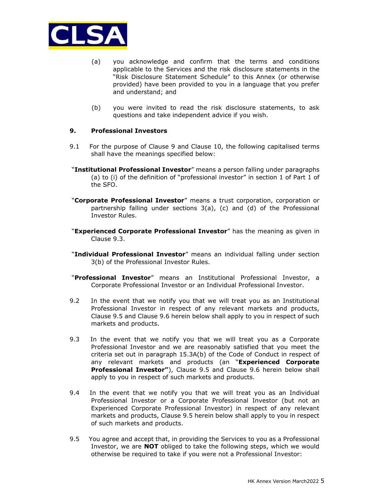

- (a) you acknowledge and confirm that the terms and conditions applicable to the Services and the risk disclosure statements in the "Risk Disclosure Statement Schedule" to this Annex (or otherwise provided) have been provided to you in a language that you prefer and understand; and
- (b) you were invited to read the risk disclosure statements, to ask questions and take independent advice if you wish.

## **9. Professional Investors**

- 9.1 For the purpose of Clause 9 and Clause 10, the following capitalised terms shall have the meanings specified below:
- "**Institutional Professional Investor**" means a person falling under paragraphs (a) to (i) of the definition of "professional investor" in section 1 of Part 1 of the SFO.
- "**Corporate Professional Investor**" means a trust corporation, corporation or partnership falling under sections 3(a), (c) and (d) of the Professional Investor Rules.
- "**Experienced Corporate Professional Investor**" has the meaning as given in Clause 9.3.
- "**Individual Professional Investor**" means an individual falling under section 3(b) of the Professional Investor Rules.
- "**Professional Investor**" means an Institutional Professional Investor, a Corporate Professional Investor or an Individual Professional Investor.
- 9.2 In the event that we notify you that we will treat you as an Institutional Professional Investor in respect of any relevant markets and products, Clause 9.5 and Clause 9.6 herein below shall apply to you in respect of such markets and products.
- 9.3 In the event that we notify you that we will treat you as a Corporate Professional Investor and we are reasonably satisfied that you meet the criteria set out in paragraph 15.3A(b) of the Code of Conduct in respect of any relevant markets and products (an "**Experienced Corporate Professional Investor"**), Clause 9.5 and Clause 9.6 herein below shall apply to you in respect of such markets and products.
- 9.4 In the event that we notify you that we will treat you as an Individual Professional Investor or a Corporate Professional Investor (but not an Experienced Corporate Professional Investor) in respect of any relevant markets and products, Clause 9.5 herein below shall apply to you in respect of such markets and products.
- 9.5 You agree and accept that, in providing the Services to you as a Professional Investor, we are **NOT** obliged to take the following steps, which we would otherwise be required to take if you were not a Professional Investor: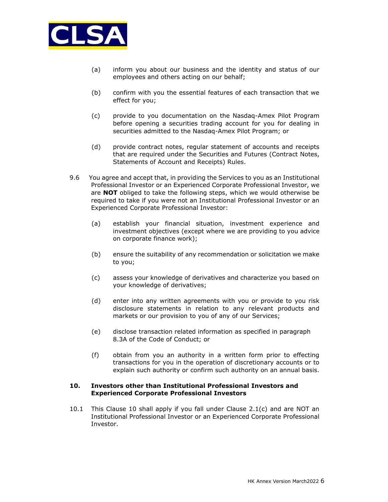

- (a) inform you about our business and the identity and status of our employees and others acting on our behalf;
- (b) confirm with you the essential features of each transaction that we effect for you;
- (c) provide to you documentation on the Nasdaq-Amex Pilot Program before opening a securities trading account for you for dealing in securities admitted to the Nasdaq-Amex Pilot Program; or
- (d) provide contract notes, regular statement of accounts and receipts that are required under the Securities and Futures (Contract Notes, Statements of Account and Receipts) Rules.
- 9.6 You agree and accept that, in providing the Services to you as an Institutional Professional Investor or an Experienced Corporate Professional Investor, we are **NOT** obliged to take the following steps, which we would otherwise be required to take if you were not an Institutional Professional Investor or an Experienced Corporate Professional Investor:
	- (a) establish your financial situation, investment experience and investment objectives (except where we are providing to you advice on corporate finance work);
	- (b) ensure the suitability of any recommendation or solicitation we make to you;
	- (c) assess your knowledge of derivatives and characterize you based on your knowledge of derivatives;
	- (d) enter into any written agreements with you or provide to you risk disclosure statements in relation to any relevant products and markets or our provision to you of any of our Services;
	- (e) disclose transaction related information as specified in paragraph 8.3A of the Code of Conduct; or
	- (f) obtain from you an authority in a written form prior to effecting transactions for you in the operation of discretionary accounts or to explain such authority or confirm such authority on an annual basis.

## **10. Investors other than Institutional Professional Investors and Experienced Corporate Professional Investors**

10.1 This Clause 10 shall apply if you fall under Clause 2.1(c) and are NOT an Institutional Professional Investor or an Experienced Corporate Professional Investor.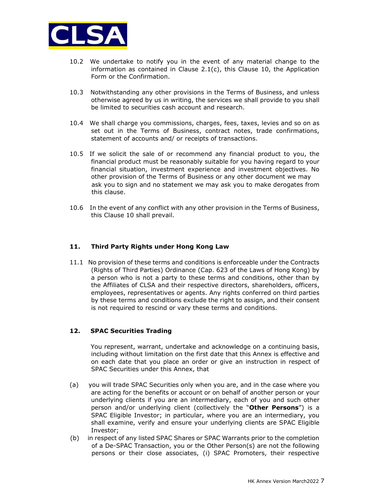

- 10.2 We undertake to notify you in the event of any material change to the information as contained in Clause 2.1(c), this Clause 10, the Application Form or the Confirmation.
- 10.3 Notwithstanding any other provisions in the Terms of Business, and unless otherwise agreed by us in writing, the services we shall provide to you shall be limited to securities cash account and research.
- 10.4 We shall charge you commissions, charges, fees, taxes, levies and so on as set out in the Terms of Business, contract notes, trade confirmations, statement of accounts and/ or receipts of transactions.
- 10.5 If we solicit the sale of or recommend any financial product to you, the financial product must be reasonably suitable for you having regard to your financial situation, investment experience and investment objectives. No other provision of the Terms of Business or any other document we may ask you to sign and no statement we may ask you to make derogates from this clause.
- 10.6 In the event of any conflict with any other provision in the Terms of Business, this Clause 10 shall prevail.

#### **11. Third Party Rights under Hong Kong Law**

11.1 No provision of these terms and conditions is enforceable under the Contracts (Rights of Third Parties) Ordinance (Cap. 623 of the Laws of Hong Kong) by a person who is not a party to these terms and conditions, other than by the Affiliates of CLSA and their respective directors, shareholders, officers, employees, representatives or agents. Any rights conferred on third parties by these terms and conditions exclude the right to assign, and their consent is not required to rescind or vary these terms and conditions.

#### **12. SPAC Securities Trading**

 You represent, warrant, undertake and acknowledge on a continuing basis, including without limitation on the first date that this Annex is effective and on each date that you place an order or give an instruction in respect of SPAC Securities under this Annex, that

- (a) you will trade SPAC Securities only when you are, and in the case where you are acting for the benefits or account or on behalf of another person or your underlying clients if you are an intermediary, each of you and such other person and/or underlying client (collectively the "**Other Persons**") is a SPAC Eligible Investor; in particular, where you are an intermediary, you shall examine, verify and ensure your underlying clients are SPAC Eligible Investor;
- (b) in respect of any listed SPAC Shares or SPAC Warrants prior to the completion of a De-SPAC Transaction, you or the Other Person(s) are not the following persons or their close associates, (i) SPAC Promoters, their respective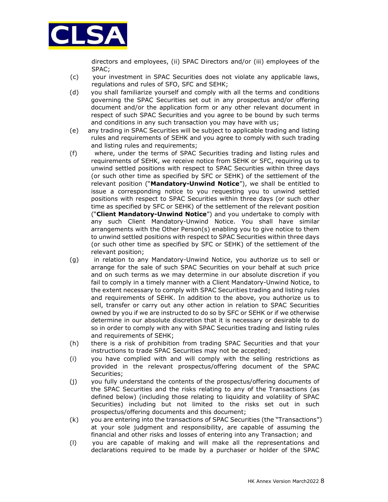

directors and employees, (ii) SPAC Directors and/or (iii) employees of the SPAC;

- (c) your investment in SPAC Securities does not violate any applicable laws, regulations and rules of SFO, SFC and SEHK;
- (d) you shall familiarize yourself and comply with all the terms and conditions governing the SPAC Securities set out in any prospectus and/or offering document and/or the application form or any other relevant document in respect of such SPAC Securities and you agree to be bound by such terms and conditions in any such transaction you may have with us;
- (e) any trading in SPAC Securities will be subject to applicable trading and listing rules and requirements of SEHK and you agree to comply with such trading and listing rules and requirements;
- (f) where, under the terms of SPAC Securities trading and listing rules and requirements of SEHK, we receive notice from SEHK or SFC, requiring us to unwind settled positions with respect to SPAC Securities within three days (or such other time as specified by SFC or SEHK) of the settlement of the relevant position ("**Mandatory-Unwind Notice**"), we shall be entitled to issue a corresponding notice to you requesting you to unwind settled positions with respect to SPAC Securities within three days (or such other time as specified by SFC or SEHK) of the settlement of the relevant position ("**Client Mandatory-Unwind Notice**") and you undertake to comply with any such Client Mandatory-Unwind Notice. You shall have similar arrangements with the Other Person(s) enabling you to give notice to them to unwind settled positions with respect to SPAC Securities within three days (or such other time as specified by SFC or SEHK) of the settlement of the relevant position;
- (g) in relation to any Mandatory-Unwind Notice, you authorize us to sell or arrange for the sale of such SPAC Securities on your behalf at such price and on such terms as we may determine in our absolute discretion if you fail to comply in a timely manner with a Client Mandatory-Unwind Notice, to the extent necessary to comply with SPAC Securities trading and listing rules and requirements of SEHK. In addition to the above, you authorize us to sell, transfer or carry out any other action in relation to SPAC Securities owned by you if we are instructed to do so by SFC or SEHK or if we otherwise determine in our absolute discretion that it is necessary or desirable to do so in order to comply with any with SPAC Securities trading and listing rules and requirements of SEHK;
- (h) there is a risk of prohibition from trading SPAC Securities and that your instructions to trade SPAC Securities may not be accepted;
- (i) you have complied with and will comply with the selling restrictions as provided in the relevant prospectus/offering document of the SPAC Securities;
- (j) you fully understand the contents of the prospectus/offering documents of the SPAC Securities and the risks relating to any of the Transactions (as defined below) (including those relating to liquidity and volatility of SPAC Securities) including but not limited to the risks set out in such prospectus/offering documents and this document;
- (k) you are entering into the transactions of SPAC Securities (the "Transactions") at your sole judgment and responsibility, are capable of assuming the financial and other risks and losses of entering into any Transaction; and
- (l) you are capable of making and will make all the representations and declarations required to be made by a purchaser or holder of the SPAC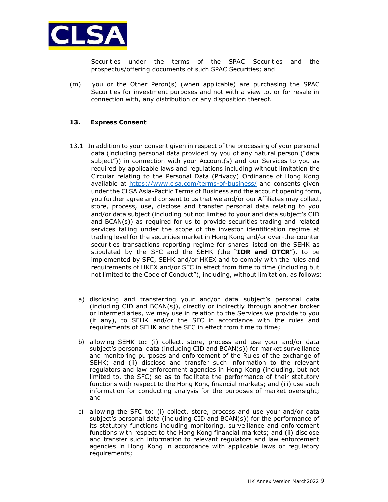

Securities under the terms of the SPAC Securities and the prospectus/offering documents of such SPAC Securities; and

(m) you or the Other Peron(s) (when applicable) are purchasing the SPAC Securities for investment purposes and not with a view to, or for resale in connection with, any distribution or any disposition thereof.

# **13. Express Consent**

- 13.1 In addition to your consent given in respect of the processing of your personal data (including personal data provided by you of any natural person ("data subject")) in connection with your Account(s) and our Services to you as required by applicable laws and regulations including without limitation the Circular relating to the Personal Data (Privacy) Ordinance of Hong Kong available at<https://www.clsa.com/terms-of-business/> and consents given under the CLSA Asia-Pacific Terms of Business and the account opening form, you further agree and consent to us that we and/or our Affiliates may collect, store, process, use, disclose and transfer personal data relating to you and/or data subject (including but not limited to your and data subject's CID and BCAN(s)) as required for us to provide securities trading and related services falling under the scope of the investor identification regime at trading level for the securities market in Hong Kong and/or over-the-counter securities transactions reporting regime for shares listed on the SEHK as stipulated by the SFC and the SEHK (the "**IDR and OTCR**"), to be implemented by SFC, SEHK and/or HKEX and to comply with the rules and requirements of HKEX and/or SFC in effect from time to time (including but not limited to the Code of Conduct"), including, without limitation, as follows:
	- a) disclosing and transferring your and/or data subject's personal data (including CID and BCAN(s)), directly or indirectly through another broker or intermediaries, we may use in relation to the Services we provide to you (if any), to SEHK and/or the SFC in accordance with the rules and requirements of SEHK and the SFC in effect from time to time;
	- b) allowing SEHK to: (i) collect, store, process and use your and/or data subject's personal data (including CID and BCAN(s)) for market surveillance and monitoring purposes and enforcement of the Rules of the exchange of SEHK; and (ii) disclose and transfer such information to the relevant regulators and law enforcement agencies in Hong Kong (including, but not limited to, the SFC) so as to facilitate the performance of their statutory functions with respect to the Hong Kong financial markets; and (iii) use such information for conducting analysis for the purposes of market oversight; and
	- c) allowing the SFC to: (i) collect, store, process and use your and/or data subject's personal data (including CID and BCAN(s)) for the performance of its statutory functions including monitoring, surveillance and enforcement functions with respect to the Hong Kong financial markets; and (ii) disclose and transfer such information to relevant regulators and law enforcement agencies in Hong Kong in accordance with applicable laws or regulatory requirements;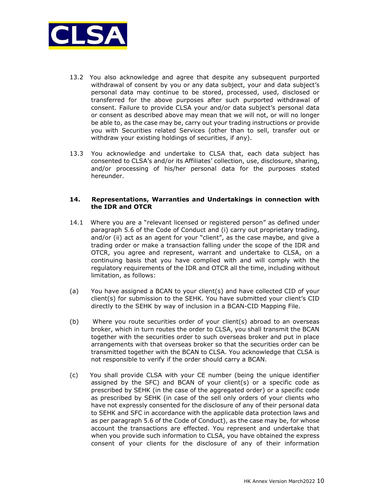

- 13.2 You also acknowledge and agree that despite any subsequent purported withdrawal of consent by you or any data subject, your and data subject's personal data may continue to be stored, processed, used, disclosed or transferred for the above purposes after such purported withdrawal of consent. Failure to provide CLSA your and/or data subject's personal data or consent as described above may mean that we will not, or will no longer be able to, as the case may be, carry out your trading instructions or provide you with Securities related Services (other than to sell, transfer out or withdraw your existing holdings of securities, if any).
- 13.3 You acknowledge and undertake to CLSA that, each data subject has consented to CLSA's and/or its Affiliates' collection, use, disclosure, sharing, and/or processing of his/her personal data for the purposes stated hereunder.

#### **14. Representations, Warranties and Undertakings in connection with the IDR and OTCR**

- 14.1 Where you are a "relevant licensed or registered person" as defined under paragraph 5.6 of the Code of Conduct and (i) carry out proprietary trading, and/or (ii) act as an agent for your "client", as the case maybe, and give a trading order or make a transaction falling under the scope of the IDR and OTCR, you agree and represent, warrant and undertake to CLSA, on a continuing basis that you have complied with and will comply with the regulatory requirements of the IDR and OTCR all the time, including without limitation, as follows:
- (a) You have assigned a BCAN to your client(s) and have collected CID of your client(s) for submission to the SEHK. You have submitted your client's CID directly to the SEHK by way of inclusion in a BCAN-CID Mapping File.
- (b) Where you route securities order of your client(s) abroad to an overseas broker, which in turn routes the order to CLSA, you shall transmit the BCAN together with the securities order to such overseas broker and put in place arrangements with that overseas broker so that the securities order can be transmitted together with the BCAN to CLSA. You acknowledge that CLSA is not responsible to verify if the order should carry a BCAN.
- (c) You shall provide CLSA with your CE number (being the unique identifier assigned by the SFC) and BCAN of your client(s) or a specific code as prescribed by SEHK (in the case of the aggregated order) or a specific code as prescribed by SEHK (in case of the sell only orders of your clients who have not expressly consented for the disclosure of any of their personal data to SEHK and SFC in accordance with the applicable data protection laws and as per paragraph 5.6 of the Code of Conduct), as the case may be, for whose account the transactions are effected. You represent and undertake that when you provide such information to CLSA, you have obtained the express consent of your clients for the disclosure of any of their information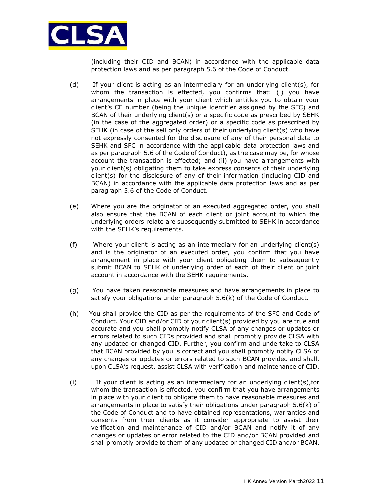

(including their CID and BCAN) in accordance with the applicable data protection laws and as per paragraph 5.6 of the Code of Conduct.

- (d) If your client is acting as an intermediary for an underlying client(s), for whom the transaction is effected, you confirms that: (i) you have arrangements in place with your client which entitles you to obtain your client's CE number (being the unique identifier assigned by the SFC) and BCAN of their underlying client(s) or a specific code as prescribed by SEHK (in the case of the aggregated order) or a specific code as prescribed by SEHK (in case of the sell only orders of their underlying client(s) who have not expressly consented for the disclosure of any of their personal data to SEHK and SFC in accordance with the applicable data protection laws and as per paragraph 5.6 of the Code of Conduct), as the case may be, for whose account the transaction is effected; and (ii) you have arrangements with your client(s) obligating them to take express consents of their underlying client(s) for the disclosure of any of their information (including CID and BCAN) in accordance with the applicable data protection laws and as per paragraph 5.6 of the Code of Conduct.
- (e) Where you are the originator of an executed aggregated order, you shall also ensure that the BCAN of each client or joint account to which the underlying orders relate are subsequently submitted to SEHK in accordance with the SEHK's requirements.
- (f) Where your client is acting as an intermediary for an underlying client(s) and is the originator of an executed order, you confirm that you have arrangement in place with your client obligating them to subsequently submit BCAN to SEHK of underlying order of each of their client or joint account in accordance with the SEHK requirements.
- (g) You have taken reasonable measures and have arrangements in place to satisfy your obligations under paragraph 5.6(k) of the Code of Conduct.
- (h) You shall provide the CID as per the requirements of the SFC and Code of Conduct. Your CID and/or CID of your client(s) provided by you are true and accurate and you shall promptly notify CLSA of any changes or updates or errors related to such CIDs provided and shall promptly provide CLSA with any updated or changed CID. Further, you confirm and undertake to CLSA that BCAN provided by you is correct and you shall promptly notify CLSA of any changes or updates or errors related to such BCAN provided and shall, upon CLSA's request, assist CLSA with verification and maintenance of CID.
- (i) If your client is acting as an intermediary for an underlying client(s),for whom the transaction is effected, you confirm that you have arrangements in place with your client to obligate them to have reasonable measures and arrangements in place to satisfy their obligations under paragraph 5.6(k) of the Code of Conduct and to have obtained representations, warranties and consents from their clients as it consider appropriate to assist their verification and maintenance of CID and/or BCAN and notify it of any changes or updates or error related to the CID and/or BCAN provided and shall promptly provide to them of any updated or changed CID and/or BCAN.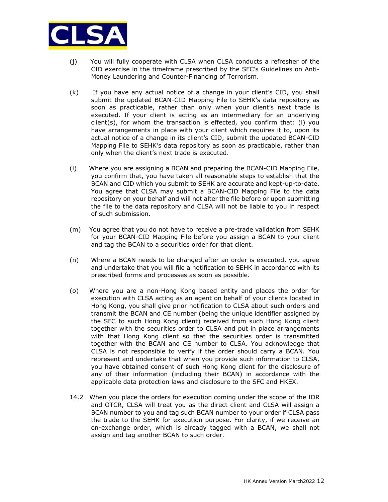

- (j) You will fully cooperate with CLSA when CLSA conducts a refresher of the CID exercise in the timeframe prescribed by the SFC's Guidelines on Anti-Money Laundering and Counter-Financing of Terrorism.
- (k) If you have any actual notice of a change in your client's CID, you shall submit the updated BCAN-CID Mapping File to SEHK's data repository as soon as practicable, rather than only when your client's next trade is executed. If your client is acting as an intermediary for an underlying client(s), for whom the transaction is effected, you confirm that: (i) you have arrangements in place with your client which requires it to, upon its actual notice of a change in its client's CID, submit the updated BCAN-CID Mapping File to SEHK's data repository as soon as practicable, rather than only when the client's next trade is executed.
- (l) Where you are assigning a BCAN and preparing the BCAN-CID Mapping File, you confirm that, you have taken all reasonable steps to establish that the BCAN and CID which you submit to SEHK are accurate and kept-up-to-date. You agree that CLSA may submit a BCAN-CID Mapping File to the data repository on your behalf and will not alter the file before or upon submitting the file to the data repository and CLSA will not be liable to you in respect of such submission.
- (m) You agree that you do not have to receive a pre-trade validation from SEHK for your BCAN-CID Mapping File before you assign a BCAN to your client and tag the BCAN to a securities order for that client.
- (n) Where a BCAN needs to be changed after an order is executed, you agree and undertake that you will file a notification to SEHK in accordance with its prescribed forms and processes as soon as possible.
- (o) Where you are a non-Hong Kong based entity and places the order for execution with CLSA acting as an agent on behalf of your clients located in Hong Kong, you shall give prior notification to CLSA about such orders and transmit the BCAN and CE number (being the unique identifier assigned by the SFC to such Hong Kong client) received from such Hong Kong client together with the securities order to CLSA and put in place arrangements with that Hong Kong client so that the securities order is transmitted together with the BCAN and CE number to CLSA. You acknowledge that CLSA is not responsible to verify if the order should carry a BCAN. You represent and undertake that when you provide such information to CLSA, you have obtained consent of such Hong Kong client for the disclosure of any of their information (including their BCAN) in accordance with the applicable data protection laws and disclosure to the SFC and HKEX.
- 14.2 When you place the orders for execution coming under the scope of the IDR and OTCR, CLSA will treat you as the direct client and CLSA will assign a BCAN number to you and tag such BCAN number to your order if CLSA pass the trade to the SEHK for execution purpose. For clarity, if we receive an on-exchange order, which is already tagged with a BCAN, we shall not assign and tag another BCAN to such order.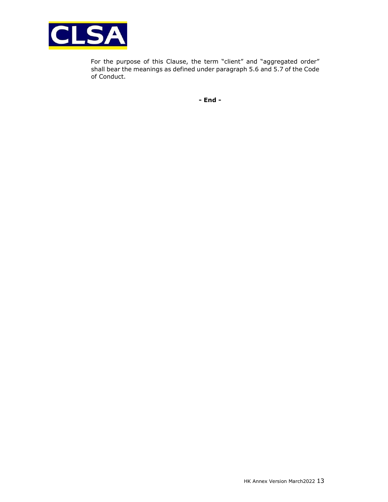

 For the purpose of this Clause, the term "client" and "aggregated order" shall bear the meanings as defined under paragraph 5.6 and 5.7 of the Code of Conduct.

**- End -**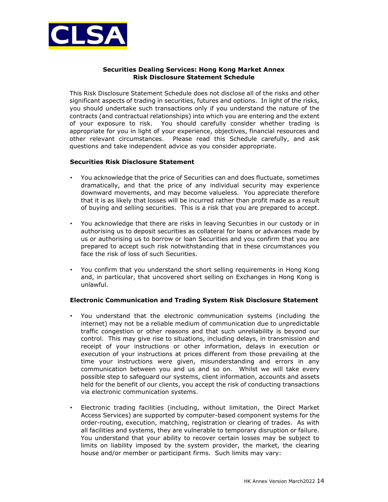

# **Securities Dealing Services: Hong Kong Market Annex Risk Disclosure Statement Schedule**

This Risk Disclosure Statement Schedule does not disclose all of the risks and other significant aspects of trading in securities, futures and options. In light of the risks, you should undertake such transactions only if you understand the nature of the contracts (and contractual relationships) into which you are entering and the extent of your exposure to risk. You should carefully consider whether trading is appropriate for you in light of your experience, objectives, financial resources and other relevant circumstances. Please read this Schedule carefully, and ask questions and take independent advice as you consider appropriate.

## **Securities Risk Disclosure Statement**

- You acknowledge that the price of Securities can and does fluctuate, sometimes dramatically, and that the price of any individual security may experience downward movements, and may become valueless. You appreciate therefore that it is as likely that losses will be incurred rather than profit made as a result of buying and selling securities. This is a risk that you are prepared to accept.
- You acknowledge that there are risks in leaving Securities in our custody or in authorising us to deposit securities as collateral for loans or advances made by us or authorising us to borrow or loan Securities and you confirm that you are prepared to accept such risk notwithstanding that in these circumstances you face the risk of loss of such Securities.
- You confirm that you understand the short selling requirements in Hong Kong and, in particular, that uncovered short selling on Exchanges in Hong Kong is unlawful.

# **Electronic Communication and Trading System Risk Disclosure Statement**

- You understand that the electronic communication systems (including the internet) may not be a reliable medium of communication due to unpredictable traffic congestion or other reasons and that such unreliability is beyond our control. This may give rise to situations, including delays, in transmission and receipt of your instructions or other information, delays in execution or execution of your instructions at prices different from those prevailing at the time your instructions were given, misunderstanding and errors in any communication between you and us and so on. Whilst we will take every possible step to safeguard our systems, client information, accounts and assets held for the benefit of our clients, you accept the risk of conducting transactions via electronic communication systems.
- Electronic trading facilities (including, without limitation, the Direct Market Access Services) are supported by computer-based component systems for the order-routing, execution, matching, registration or clearing of trades. As with all facilities and systems, they are vulnerable to temporary disruption or failure. You understand that your ability to recover certain losses may be subject to limits on liability imposed by the system provider, the market, the clearing house and/or member or participant firms. Such limits may vary: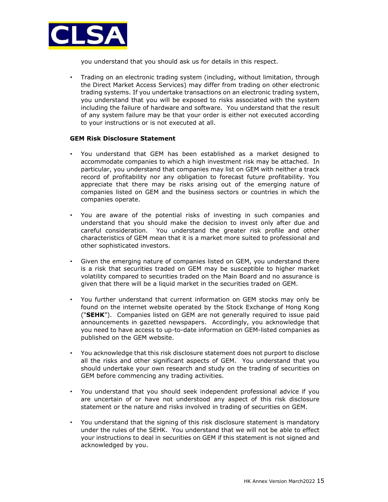

you understand that you should ask us for details in this respect.

• Trading on an electronic trading system (including, without limitation, through the Direct Market Access Services) may differ from trading on other electronic trading systems. If you undertake transactions on an electronic trading system, you understand that you will be exposed to risks associated with the system including the failure of hardware and software. You understand that the result of any system failure may be that your order is either not executed according to your instructions or is not executed at all.

#### **GEM Risk Disclosure Statement**

- You understand that GEM has been established as a market designed to accommodate companies to which a high investment risk may be attached. In particular, you understand that companies may list on GEM with neither a track record of profitability nor any obligation to forecast future profitability. You appreciate that there may be risks arising out of the emerging nature of companies listed on GEM and the business sectors or countries in which the companies operate.
- You are aware of the potential risks of investing in such companies and understand that you should make the decision to invest only after due and careful consideration. You understand the greater risk profile and other characteristics of GEM mean that it is a market more suited to professional and other sophisticated investors.
- Given the emerging nature of companies listed on GEM, you understand there is a risk that securities traded on GEM may be susceptible to higher market volatility compared to securities traded on the Main Board and no assurance is given that there will be a liquid market in the securities traded on GEM.
- You further understand that current information on GEM stocks may only be found on the internet website operated by the Stock Exchange of Hong Kong ("**SEHK**"). Companies listed on GEM are not generally required to issue paid announcements in gazetted newspapers. Accordingly, you acknowledge that you need to have access to up-to-date information on GEM-listed companies as published on the GEM website.
- You acknowledge that this risk disclosure statement does not purport to disclose all the risks and other significant aspects of GEM. You understand that you should undertake your own research and study on the trading of securities on GEM before commencing any trading activities.
- You understand that you should seek independent professional advice if you are uncertain of or have not understood any aspect of this risk disclosure statement or the nature and risks involved in trading of securities on GEM.
- You understand that the signing of this risk disclosure statement is mandatory under the rules of the SEHK. You understand that we will not be able to effect your instructions to deal in securities on GEM if this statement is not signed and acknowledged by you.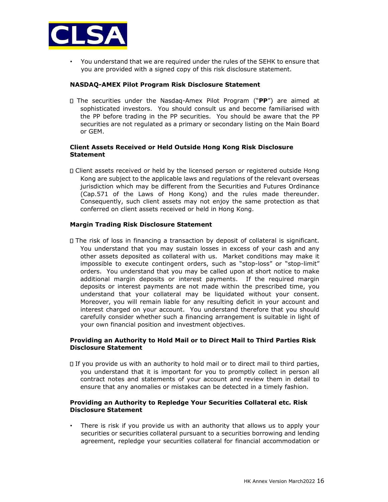

• You understand that we are required under the rules of the SEHK to ensure that you are provided with a signed copy of this risk disclosure statement.

### **NASDAQ-AMEX Pilot Program Risk Disclosure Statement**

The securities under the Nasdaq-Amex Pilot Program ("**PP**") are aimed at sophisticated investors. You should consult us and become familiarised with the PP before trading in the PP securities. You should be aware that the PP securities are not regulated as a primary or secondary listing on the Main Board or GEM.

#### **Client Assets Received or Held Outside Hong Kong Risk Disclosure Statement**

Client assets received or held by the licensed person or registered outside Hong Kong are subject to the applicable laws and regulations of the relevant overseas jurisdiction which may be different from the Securities and Futures Ordinance (Cap.571 of the Laws of Hong Kong) and the rules made thereunder. Consequently, such client assets may not enjoy the same protection as that conferred on client assets received or held in Hong Kong.

## **Margin Trading Risk Disclosure Statement**

The risk of loss in financing a transaction by deposit of collateral is significant. You understand that you may sustain losses in excess of your cash and any other assets deposited as collateral with us. Market conditions may make it impossible to execute contingent orders, such as "stop-loss" or "stop-limit" orders. You understand that you may be called upon at short notice to make additional margin deposits or interest payments. If the required margin deposits or interest payments are not made within the prescribed time, you understand that your collateral may be liquidated without your consent. Moreover, you will remain liable for any resulting deficit in your account and interest charged on your account. You understand therefore that you should carefully consider whether such a financing arrangement is suitable in light of your own financial position and investment objectives.

## **Providing an Authority to Hold Mail or to Direct Mail to Third Parties Risk Disclosure Statement**

If you provide us with an authority to hold mail or to direct mail to third parties, you understand that it is important for you to promptly collect in person all contract notes and statements of your account and review them in detail to ensure that any anomalies or mistakes can be detected in a timely fashion.

## **Providing an Authority to Repledge Your Securities Collateral etc. Risk Disclosure Statement**

• There is risk if you provide us with an authority that allows us to apply your securities or securities collateral pursuant to a securities borrowing and lending agreement, repledge your securities collateral for financial accommodation or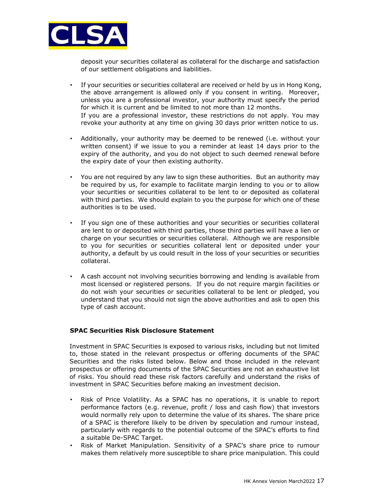

deposit your securities collateral as collateral for the discharge and satisfaction of our settlement obligations and liabilities.

- If your securities or securities collateral are received or held by us in Hong Kong, the above arrangement is allowed only if you consent in writing. Moreover, unless you are a professional investor, your authority must specify the period for which it is current and be limited to not more than 12 months. If you are a professional investor, these restrictions do not apply. You may revoke your authority at any time on giving 30 days prior written notice to us.
- Additionally, your authority may be deemed to be renewed (i.e. without your written consent) if we issue to you a reminder at least 14 days prior to the expiry of the authority, and you do not object to such deemed renewal before the expiry date of your then existing authority.
- You are not required by any law to sign these authorities. But an authority may be required by us, for example to facilitate margin lending to you or to allow your securities or securities collateral to be lent to or deposited as collateral with third parties. We should explain to you the purpose for which one of these authorities is to be used.
- If you sign one of these authorities and your securities or securities collateral are lent to or deposited with third parties, those third parties will have a lien or charge on your securities or securities collateral. Although we are responsible to you for securities or securities collateral lent or deposited under your authority, a default by us could result in the loss of your securities or securities collateral.
- A cash account not involving securities borrowing and lending is available from most licensed or registered persons. If you do not require margin facilities or do not wish your securities or securities collateral to be lent or pledged, you understand that you should not sign the above authorities and ask to open this type of cash account.

#### **SPAC Securities Risk Disclosure Statement**

Investment in SPAC Securities is exposed to various risks, including but not limited to, those stated in the relevant prospectus or offering documents of the SPAC Securities and the risks listed below. Below and those included in the relevant prospectus or offering documents of the SPAC Securities are not an exhaustive list of risks. You should read these risk factors carefully and understand the risks of investment in SPAC Securities before making an investment decision.

- Risk of Price Volatility. As a SPAC has no operations, it is unable to report performance factors (e.g. revenue, profit / loss and cash flow) that investors would normally rely upon to determine the value of its shares. The share price of a SPAC is therefore likely to be driven by speculation and rumour instead, particularly with regards to the potential outcome of the SPAC's efforts to find a suitable De-SPAC Target.
- Risk of Market Manipulation. Sensitivity of a SPAC's share price to rumour makes them relatively more susceptible to share price manipulation. This could